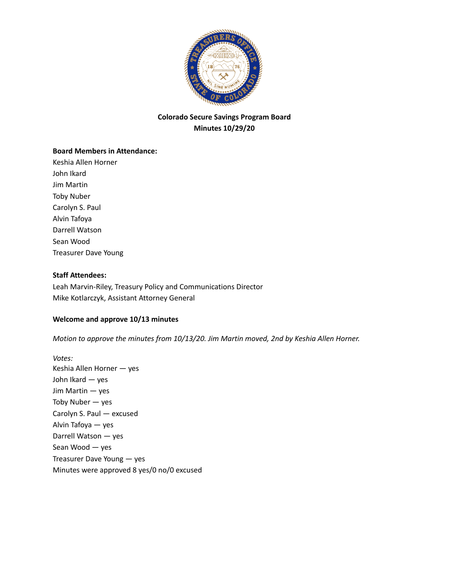

# **Colorado Secure Savings Program Board Minutes 10/29/20**

## **Board Members in Attendance:**

Keshia Allen Horner John Ikard Jim Martin Toby Nuber Carolyn S. Paul Alvin Tafoya Darrell Watson Sean Wood Treasurer Dave Young

## **Staff Attendees:**

Leah Marvin-Riley, Treasury Policy and Communications Director Mike Kotlarczyk, Assistant Attorney General

## **Welcome and approve 10/13 minutes**

*Motion to approve the minutes from 10/13/20. Jim Martin moved, 2nd by Keshia Allen Horner.*

*Votes:* Keshia Allen Horner — yes John Ikard — yes Jim Martin — yes Toby Nuber — yes Carolyn S. Paul — excused Alvin Tafoya — yes Darrell Watson — yes Sean Wood — yes Treasurer Dave Young — yes Minutes were approved 8 yes/0 no/0 excused